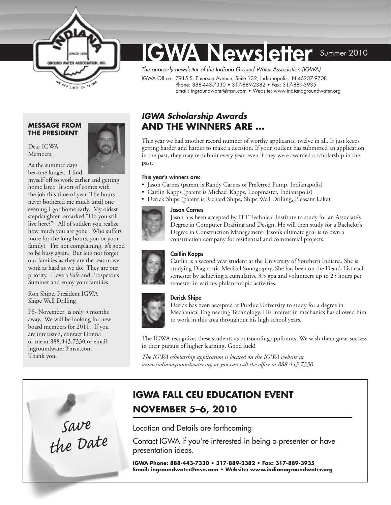

# **GWA Newsletter** Summer 2010

*The quarterly newsletter of the Indiana Ground Water Association (IGWA)* 

IGWA Office: 7915 S. Emerson Avenue, Suite 132, Indianapolis, IN 46237-9708 Phone: 888-443-7330 • 317-889-2382 • Fax: 317-889-3935 Email: ingroundwater@msn.com • Website: www.indianagroundwater.org

#### **Message from the President**

As the summer days

Dear IGWA Members,



become longer, I find myself off to work earlier and getting home later. It sort of comes with the job this time of year. The hours never bothered me much until one evening I got home early. My oldest stepdaughter remarked "Do you still live here?" All of sudden you realize how much you are gone. Who suffers more for the long hours, you or your family? I'm not complaining, it's good to be busy again. But let's not forget our families as they are the reason we work as hard as we do. They are our priority. Have a Safe and Prosperous Summer and enjoy your families.

Ron Shipe, President IGWA Shipe Well Drilling

PS- November is only 5 months away. We will be looking for new board members for 2011. If you are interested, contact Donna or me at 888.443.7330 or email [ingroundwater@msn.com](mailto:ingroundwater@msn.com) Thank you.



### *IGWA Scholarship Awards*  **and the Winners Are …**

This year we had another record number of worthy applicants, twelve in all. It just keeps getting harder and harder to make a decision. If your student has submitted an application in the past, they may re-submit every year, even if they were awarded a scholarship in the past.

#### This year's winners are:

- Jason Carnes (parent is Randy Carnes of Preferred Pump, Indianapolis)
- Caitlin Kapps (parent is Michael Kapps, Loopmaster, Indianapolis)
- Derick Shipe (parent is Richard Shipe, Shipe Well Drilling, Pleasant Lake)

#### Jason Carnes

Jason has been accepted by ITT Technical Institute to study for an Associate's Degree in Computer Drafting and Design. He will then study for a Bachelor's Degree in Construction Management. Jason's ultimate goal is to own a construction company for residential and commercial projects.

#### Caitlin Kapps

Caitlin is a second year student at the University of Southern Indiana. She is studying Diagnostic Medical Sonography. She has been on the Dean's List each semester by achieving a cumulative 3.5 gpa and volunteers up to 25 hours per semester in various philanthropic activities.



#### Derick Shipe

Derick has been accepted at Purdue University to study for a degree in Mechanical Engineering Technology. His interest in mechanics has allowed him to work in this area throughout his high school years.

The IGWA recognizes these students as outstanding applicants. We wish them great success in their pursuit of higher learning. Good luck!

*The IGWA scholarship application is located on the IGWA website at [www.indianagroundwater.org](http://www.indianagroundwater.org) or you can call the office at 888.443.7330.*

### **IGWA Fall CEu Education Event November 5–6, 2010**

Location and Details are forthcoming

Contact IGWA if you're interested in being a presenter or have presentation ideas.

**IGWA Phone: 888-443-7330 • 317-889-2382 • Fax: 317-889-3935 Email: [ingroundwater@msn.com](mailto:ingroundwater@msn.com) • Website[: www.indianagroundwater.org](http://www.indianagroundwater.org)**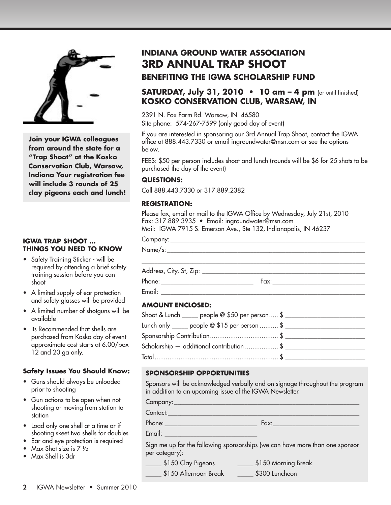

**Join your IGWA colleagues from around the state for a "Trap Shoot" at the Kosko Conservation Club, Warsaw, Indiana Your registration fee will include 3 rounds of 25 clay pigeons each and lunch!** 

#### **IGWA TRAP SHOOT … THINGS YOU NEED TO KNOW**

- Safety Training Sticker will be required by attending a brief safety training session before you can shoot
- A limited supply of ear protection and safety glasses will be provided
- A limited number of shotguns will be available
- Its Recommended that shells are purchased from Kosko day of event approximate cost starts at 6.00/box 12 and 20 ga only.

#### **Safety Issues You Should Know:**

- Guns should always be unloaded prior to shooting
- Gun actions to be open when not shooting or moving from station to station
- Load only one shell at a time or if shooting skeet two shells for doubles
- Ear and eye protection is required
- Max Shot size is 7 ½
- Max Shell is 3dr

## **INDIANA GROUND WATER ASSOCIATION 3rd Annual TRAP SHOOT**

### **BENEFITING THE IGWA SCHOLARSHIP FUND**

### **SATURDAY, July 31, 2010 • 10 am – 4 pm** (or until finished) **KOSKO CONSERVATION CLUB, WARSAW, IN**

2391 N. Fox Farm Rd. Warsaw, IN 46580 Site phone: 574-267-7599 (only good day of event)

If you are interested in sponsoring our 3rd Annual Trap Shoot, contact the IGWA office at 888.443.7330 or email ingroundwater@msn.com or see the options below.

FEES: \$50 per person includes shoot and lunch (rounds will be \$6 for 25 shots to be purchased the day of the event)

### **Questions:**

Call 888.443.7330 or 317.889.2382

### **Registration:**

Please fax, email or mail to the IGWA Office by Wednesday, July 21st, 2010 Fax: 317.889.3935 • Email: ingroundwater@msn.com Mail: IGWA 7915 S. Emerson Ave., Ste 132, Indianapolis, IN 46237

Company:\_\_\_\_\_\_\_\_\_\_\_\_\_\_\_\_\_\_\_\_\_\_\_\_\_\_\_\_\_\_\_\_\_\_\_\_\_\_\_\_\_\_\_\_\_\_\_\_\_\_\_\_\_\_\_\_\_\_\_\_\_

| ь. |  |  |
|----|--|--|
|    |  |  |

Address, City, St, Zip: \_\_\_\_\_\_\_\_\_\_\_\_\_\_\_\_\_\_\_\_\_\_\_\_\_\_\_\_\_\_\_\_\_\_\_\_\_\_\_\_\_\_\_\_\_\_\_\_\_\_\_

Phone: \_\_\_\_\_\_\_\_\_\_\_\_\_\_\_\_\_\_\_\_\_\_\_\_\_\_\_\_\_ Fax:\_\_\_\_\_\_\_\_\_\_\_\_\_\_\_\_\_\_\_\_\_\_\_\_\_\_\_\_\_

Email:  $\Box$ 

### **Amount enclosed:**

| Shoot & Lunch ______ people @ \$50 per person \$ ____________________________ |
|-------------------------------------------------------------------------------|
|                                                                               |
|                                                                               |
|                                                                               |
|                                                                               |
|                                                                               |

\_\_\_\_\_\_\_\_\_\_\_\_\_\_\_\_\_\_\_\_\_\_\_\_\_\_\_\_\_\_\_\_\_\_\_\_\_\_\_\_\_\_\_\_\_\_\_\_\_\_\_\_\_\_\_\_\_\_\_\_\_\_\_\_\_\_\_\_\_\_

#### **SPONSORSHIP OPPORTUNITIES**

Sponsors will be acknowledged verbally and on signage throughout the program in addition to an upcoming issue of the IGWA Newsletter.

Company:\_\_\_\_\_\_\_\_\_\_\_\_\_\_\_\_\_\_\_\_\_\_\_\_\_\_\_\_\_\_\_\_\_\_\_\_\_\_\_\_\_\_\_\_\_\_\_\_\_\_\_\_\_\_\_\_\_\_

Contact:\_\_\_\_\_\_\_\_\_\_\_\_\_\_\_\_\_\_\_\_\_\_\_\_\_\_\_\_\_\_\_\_\_\_\_\_\_\_\_\_\_\_\_\_\_\_\_\_\_\_\_\_\_\_\_\_\_\_\_\_

Phone: \_\_\_\_\_\_\_\_\_\_\_\_\_\_\_\_\_\_\_\_\_\_\_\_\_\_\_\_\_ Fax:\_\_\_\_\_\_\_\_\_\_\_\_\_\_\_\_\_\_\_\_\_\_\_\_\_\_\_

Email: \_\_\_\_\_\_\_\_\_

Sign me up for the following sponsorships (we can have more than one sponsor per category):

\_\_\_\_\_ \$150 Clay Pigeons \_\_\_\_\_ \$150 Morning Break

\_\_\_\_\_ \$150 Afternoon Break \_\_\_\_\_ \$300 Luncheon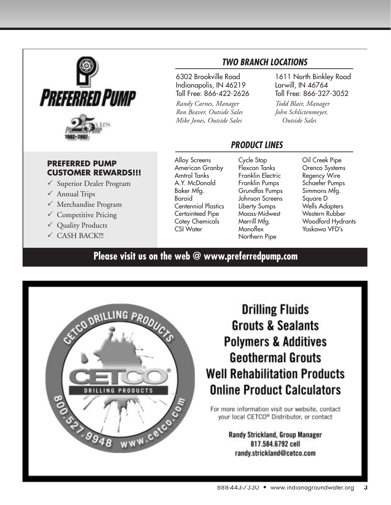

### **PREFERRED PUMP CUSTOMER REWARDS!!!**

- $\checkmark$  Superior Dealer Program
- $\checkmark$  Annual Trips
- $\checkmark$  Merchandise Program
- $\checkmark$  Competitive Pricing
- $\checkmark$  Quality Products
- $\checkmark$  CASH BACK!!!

6302 Brookville Road Indianapolis, IN 46219 Toll Free: 866-422-2626

*Randy Carnes, Manager Ron Beaver, Outside Sales Mike Jones, Outside Sales*

1611 North Binkley Road

Larwill, IN 46764 Toll Free: 866-327-3052

*Todd Blair, Manager John Schlictenmeyer, Outside Sales*

### *ProDUcT LinEs*

*Two Branch LocaTions*

Alloy Screens American Granby Amtrol Tanks A.Y. McDonald Baker Mfg. Baroid Centennial Plastics Certainteed Pipe Cotey Chemicals CSI Water

Cycle Stop Flexcon Tanks Franklin Electric Franklin Pumps Grundfos Pumps Johnson Screens Liberty Sumps Maass-Midwest Merrill Mfg. **Monoflex** Northern Pipe

Oil Creek Pipe Orenco Systems Regency Wire Schaefer Pumps Simmons Mfg. Square D Wells Adapters Western Rubber Woodford Hydrants Yaskawa VFD's

**Please visit us on the web @ www.preferredpump.com**



# **Drilling Fluids Grouts & Sealants Polymers & Additives Geothermal Grouts Well Rehabilitation Products Online Product Calculators**

For more information visit our website, contact your local CETCO® Distributor, or contact

> Randy Strickland, Group Manager 817.584.6792 cell randy.strickland@cetco.com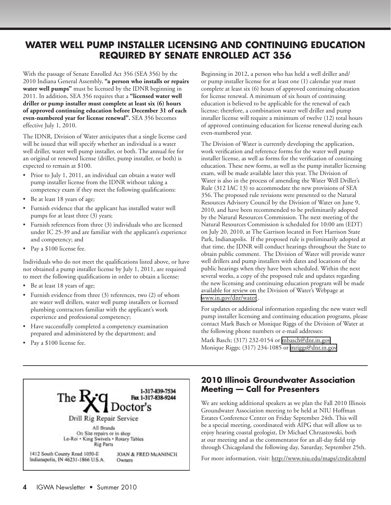### **Water Well Pump Installer Licensing and Continuing Education Required by Senate Enrolled Act 356**

With the passage of Senate Enrolled Act 356 (SEA 356) by the 2010 Indiana General Assembly, **"a person who installs or repairs water well pumps"** must be licensed by the IDNR beginning in 2011. In addition, SEA 356 requires that a **"licensed water well driller or pump installer must complete at least six (6) hours of approved continuing education before December 31 of each even-numbered year for license renewal".** SEA 356 becomes effective July 1, 2010.

The IDNR, Division of Water anticipates that a single license card will be issued that will specify whether an individual is a water well driller, water well pump installer, or both. The annual fee for an original or renewed license (driller, pump installer, or both) is expected to remain at \$100.

- Prior to July 1, 2011, an individual can obtain a water well pump installer license from the IDNR without taking a competency exam if they meet the following qualifications:
- Be at least 18 years of age;
- Furnish evidence that the applicant has installed water well pumps for at least three (3) years;
- Furnish references from three (3) individuals who are licensed under IC 25-39 and are familiar with the applicant's experience and competency; and
- Pay a \$100 license fee.

Individuals who do not meet the qualifications listed above, or have not obtained a pump installer license by July 1, 2011, are required to meet the following qualifications in order to obtain a license:

- Be at least 18 years of age;
- Furnish evidence from three (3) references, two (2) of whom are water well drillers, water well pump installers or licensed plumbing contractors familiar with the applicant's work experience and professional competency;
- Have successfully completed a competency examination prepared and administered by the department; and
- Pay a \$100 license fee.



Beginning in 2012, a person who has held a well driller and/ or pump installer license for at least one (1) calendar year must complete at least six (6) hours of approved continuing education for license renewal. A minimum of six hours of continuing education is believed to be applicable for the renewal of each license; therefore, a combination water well driller and pump installer license will require a minimum of twelve (12) total hours of approved continuing education for license renewal during each even-numbered year.

The Division of Water is currently developing the application, work verification and reference forms for the water well pump installer license, as well as forms for the verification of continuing education. These new forms, as well as the pump installer licensing exam, will be made available later this year. The Division of Water is also in the process of amending the Water Well Driller's Rule (312 IAC 13) to accommodate the new provisions of SEA 356. The proposed rule revisions were presented to the Natural Resources Advisory Council by the Division of Water on June 9, 2010, and have been recommended to be preliminarily adopted by the Natural Resources Commission. The next meeting of the Natural Resources Commission is scheduled for 10:00 am (EDT) on July 20, 2010, at The Garrison located in Fort Harrison State Park, Indianapolis. If the proposed rule is preliminarily adopted at that time, the IDNR will conduct hearings throughout the State to obtain public comment. The Division of Water will provide water well drillers and pump installers with dates and locations of the public hearings when they have been scheduled. Within the next several weeks, a copy of the proposed rule and updates regarding the new licensing and continuing education program will be made available for review on the Division of Water's Webpage at [www.in.gov/dnr/water](http://www.in.gov/dnr/water) .

For updates or additional information regarding the new water well pump installer licensing and continuing education programs, please contact Mark Basch or Monique Riggs of the Division of Water at the following phone numbers or e-mail addresses:

Mark Basch; (317) 232-0154 or [mbasch@dnr.in.gov](mailto:mbasch@dnr.in.gov) Monique Riggs; (317) 234-1085 or [mriggs@dnr.in.gov](mailto:mriggs@dnr.in.gov)

### **2010 Illinois Groundwater Association Meeting — Call for Presenters**

We are seeking additional speakers as we plan the Fall 2010 Illinois Groundwater Association meeting to be held at NIU Hoffman Estates Conference Center on Friday September 24th. This will be a special meeting, coordinated with AIPG that will allow us to enjoy hearing coastal geologist, Dr Michael Chrzastowski, both at our meeting and as the commentator for an all-day field trip through Chicagoland the following day, Saturday, September 25th.

For more information, visit:<http://www.niu.edu/maps/ctrdir.shtml>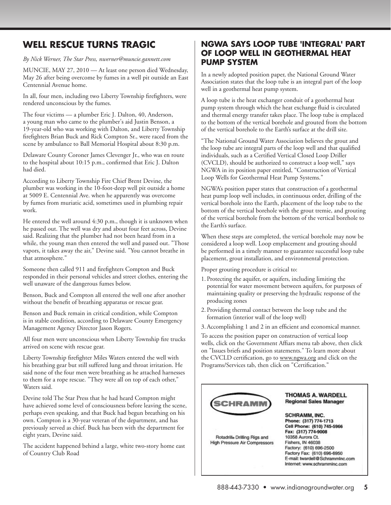### **Well rescue turns tragic**

*By Nick Werner, The Star Press, nwerner@muncie.gannett.com*

MUNCIE, MAY 27, 2010 — At least one person died Wednesday, May 26 after being overcome by fumes in a well pit outside an East Centennial Avenue home.

In all, four men, including two Liberty Township firefighters, were rendered unconscious by the fumes.

The four victims — a plumber Eric J. Dalton, 40, Anderson, a young man who came to the plumber's aid Justin Benson, a 19-year-old who was working with Dalton, and Liberty Township firefighters Brian Buck and Rick Compton Sr., were raced from the scene by ambulance to Ball Memorial Hospital about 8:30 p.m.

Delaware County Coroner James Clevenger Jr., who was en route to the hospital about 10:15 p.m., confirmed that Eric J. Dalton had died.

According to Liberty Township Fire Chief Brent Devine, the plumber was working in the 10-foot-deep well pit outside a home at 5009 E. Centennial Ave. when he apparently was overcome by fumes from muriatic acid, sometimes used in plumbing repair work.

He entered the well around 4:30 p.m., though it is unknown when he passed out. The well was dry and about four feet across, Devine said. Realizing that the plumber had not been heard from in a while, the young man then entered the well and passed out. "Those vapors, it takes away the air," Devine said. "You cannot breathe in that atmosphere."

Someone then called 911 and firefighters Compton and Buck responded in their personal vehicles and street clothes, entering the well unaware of the dangerous fumes below.

Benson, Buck and Compton all entered the well one after another without the benefit of breathing apparatus or rescue gear.

Benson and Buck remain in critical condition, while Compton is in stable condition, according to Delaware County Emergency Management Agency Director Jason Rogers.

All four men were unconscious when Liberty Township fire trucks arrived on scene with rescue gear.

Liberty Township firefighter Miles Waters entered the well with his breathing gear but still suffered lung and throat irritation. He said none of the four men were breathing as he attached harnesses to them for a rope rescue. "They were all on top of each other," Waters said.

Devine told The Star Press that he had heard Compton might have achieved some level of consciousness before leaving the scene, perhaps even speaking, and that Buck had begun breathing on his own. Compton is a 30-year veteran of the department, and has previously served as chief. Buck has been with the department for eight years, Devine said.

The accident happened behind a large, white two-story home east of Country Club Road

### **NGWA says loop tube 'integral' part of loop well in geothermal heat pump system**

In a newly adopted position paper, the National Ground Water Association states that the loop tube is an integral part of the loop well in a geothermal heat pump system.

A loop tube is the heat exchanger conduit of a geothermal heat pump system through which the heat exchange fluid is circulated and thermal energy transfer takes place. The loop tube is emplaced to the bottom of the vertical borehole and grouted from the bottom of the vertical borehole to the Earth's surface at the drill site.

"The National Ground Water Association believes the grout and the loop tube are integral parts of the loop well and that qualified individuals, such as a Certified Vertical Closed Loop Driller (CVCLD), should be authorized to construct a loop well," says NGWA in its position paper entitled, "Construction of Vertical Loop Wells for Geothermal Heat Pump Systems."

NGWA's position paper states that construction of a geothermal heat pump loop well includes, in continuous order, drilling of the vertical borehole into the Earth, placement of the loop tube to the bottom of the vertical borehole with the grout tremie, and grouting of the vertical borehole from the bottom of the vertical borehole to the Earth's surface.

When these steps are completed, the vertical borehole may now be considered a loop well. Loop emplacement and grouting should be performed in a timely manner to guarantee successful loop tube placement, grout installation, and environmental protection.

Proper grouting procedure is critical to:

- 1. Protecting the aquifer, or aquifers, including limiting the potential for water movement between aquifers, for purposes of maintaining quality or preserving the hydraulic response of the producing zones
- 2. Providing thermal contact between the loop tube and the formation (interior wall of the loop well)
- 3.Accomplishing 1 and 2 in an efficient and economical manner.

To access the position paper on construction of vertical loop wells, click on the Government Affiars menu tab above, then click on "Issues briefs and position statements." To learn more about the CVCLD certification, go to [www.ngwa.org](http://www.ngwa.org) and click on the Programs/Services tab, then click on "Certification."

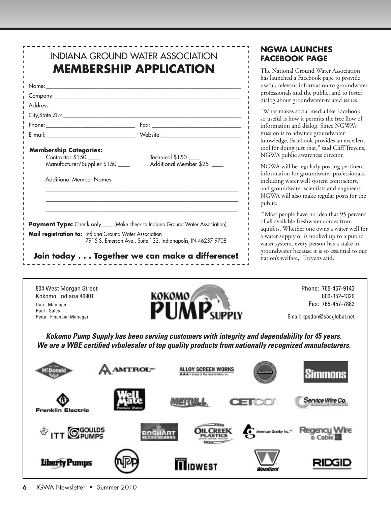| <b>Membership Categories:</b><br>Contractor \$150<br>Manufacturer/Supplier \$150<br><b>Additional Member Names:</b> | Technical \$150<br>Additional Member \$25                                     |
|---------------------------------------------------------------------------------------------------------------------|-------------------------------------------------------------------------------|
|                                                                                                                     | Payment Type: Check only____ (Make check to Indiana Ground Water Association) |
| Mail registration to: Indiana Ground Water Association                                                              | 7915 S. Emerson Ave., Suite 132, Indianapolis, IN 46237-9708                  |
|                                                                                                                     | Join today Together we can make a difference!                                 |

### **NGWA launches Facebook page**

he National Ground Water Association as launched a Facebook page to provide eful, relevant information to groundwater ofessionals and the public, and to foster alog about groundwater-related issues.

"What makes social media like Facebook useful is how it permits the free flow of formation and dialog. Since NGWA's ission is to advance groundwater howledge, Facebook provides an excellent ol for doing just that," said Cliff Treyens, GWA public awareness director.

GWA will be regularly posting pertinent formation for groundwater professionals, cluding water well system contractors, d groundwater scientists and engineers. GWA will also make regular posts for the ıblic.

Most people have no idea that 95 percent all available freshwater comes from uifers. Whether one owns a water well for water supply or is hooked up to a public ater system, every person has a stake in oundwater because it is so essential to our ation's welfare," Treyens said.

Kokomo, Indiana 46901 Dan - Manager Paul - Sales Reita - Financial Manager



 Phone: 765-457-9143 800-352-4329 Fax: 765-457-7882

Email: kpsdan@sbcglobal.net

*Kokomo Pump Supply has been serving customers with integrity and dependability for 45 years. We are a WBE certified wholesaler of top quality products from nationally recognized manufacturers.*

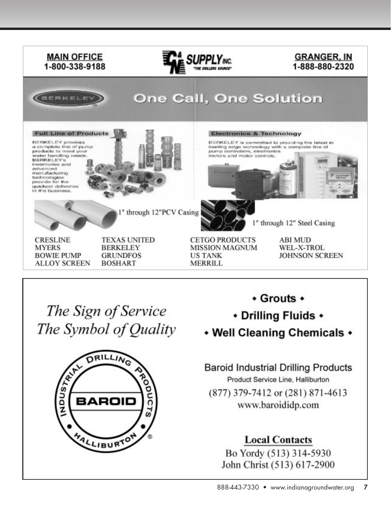

Bo Yordy (513) 314-5930 John Christ (513) 617-2900